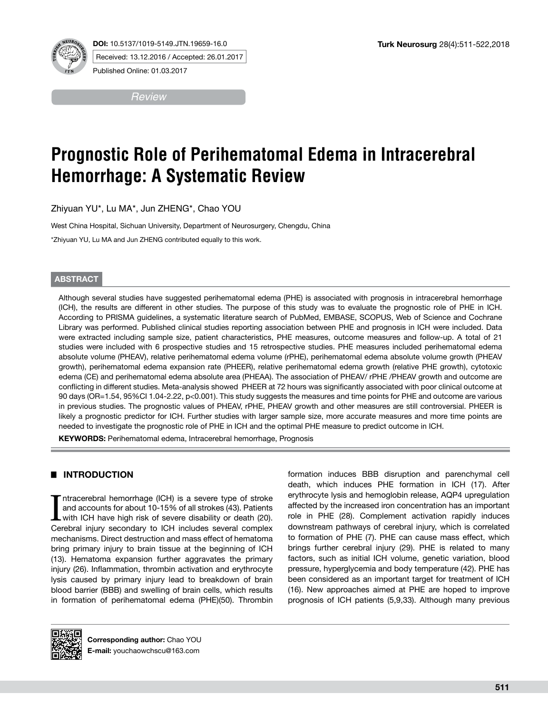



Received: 13.12.2016 / Accepted: 26.01.2017

Published Online: 01.03.2017

*Review*

# **Prognostic Role of Perihematomal Edema in Intracerebral Hemorrhage: A Systematic Review**

Zhiyuan YU\*, Lu MA\*, Jun ZHENG\*, Chao YOU

West China Hospital, Sichuan University, Department of Neurosurgery, Chengdu, China

\*Zhiyuan YU, Lu MA and Jun ZHENG contributed equally to this work.

## **ABSTRACT**

Although several studies have suggested perihematomal edema (PHE) is associated with prognosis in intracerebral hemorrhage (ICH), the results are different in other studies. The purpose of this study was to evaluate the prognostic role of PHE in ICH. According to PRISMA guidelines, a systematic literature search of PubMed, EMBASE, SCOPUS, Web of Science and Cochrane Library was performed. Published clinical studies reporting association between PHE and prognosis in ICH were included. Data were extracted including sample size, patient characteristics, PHE measures, outcome measures and follow-up. A total of 21 studies were included with 6 prospective studies and 15 retrospective studies. PHE measures included perihematomal edema absolute volume (PHEAV), relative perihematomal edema volume (rPHE), perihematomal edema absolute volume growth (PHEAV growth), perihematomal edema expansion rate (PHEER), relative perihematomal edema growth (relative PHE growth), cytotoxic edema (CE) and perihematomal edema absolute area (PHEAA). The association of PHEAV/ rPHE /PHEAV growth and outcome are conflicting in different studies. Meta-analysis showed PHEER at 72 hours was significantly associated with poor clinical outcome at 90 days (OR=1.54, 95%CI 1.04-2.22, p<0.001). This study suggests the measures and time points for PHE and outcome are various in previous studies. The prognostic values of PHEAV, rPHE, PHEAV growth and other measures are still controversial. PHEER is likely a prognostic predictor for ICH. Further studies with larger sample size, more accurate measures and more time points are needed to investigate the prognostic role of PHE in ICH and the optimal PHE measure to predict outcome in ICH.

**KEYWORDS:** Perihematomal edema, Intracerebral hemorrhage, Prognosis

## █ **INTRODUCTION**

Intracerebral hemorrhage (ICH) is a severe type of stroke and accounts for about 10-15% of all strokes (43). Patients with ICH have high risk of severe disability or death (20). Cerebral injury secondary to ICH includes se ntracerebral hemorrhage (ICH) is a severe type of stroke and accounts for about 10-15% of all strokes (43). Patients with ICH have high risk of severe disability or death (20). mechanisms. Direct destruction and mass effect of hematoma bring primary injury to brain tissue at the beginning of ICH (13). Hematoma expansion further aggravates the primary injury (26). Inflammation, thrombin activation and erythrocyte lysis caused by primary injury lead to breakdown of brain blood barrier (BBB) and swelling of brain cells, which results in formation of perihematomal edema (PHE)(50). Thrombin



**Corresponding author:** Chao YOU **E-mail:** youchaowchscu@163.com

formation induces BBB disruption and parenchymal cell death, which induces PHE formation in ICH (17). After erythrocyte lysis and hemoglobin release, AQP4 upregulation affected by the increased iron concentration has an important role in PHE (28). Complement activation rapidly induces downstream pathways of cerebral injury, which is correlated to formation of PHE (7). PHE can cause mass effect, which brings further cerebral injury (29). PHE is related to many factors, such as initial ICH volume, genetic variation, blood pressure, hyperglycemia and body temperature (42). PHE has been considered as an important target for treatment of ICH (16). New approaches aimed at PHE are hoped to improve prognosis of ICH patients (5,9,33). Although many previous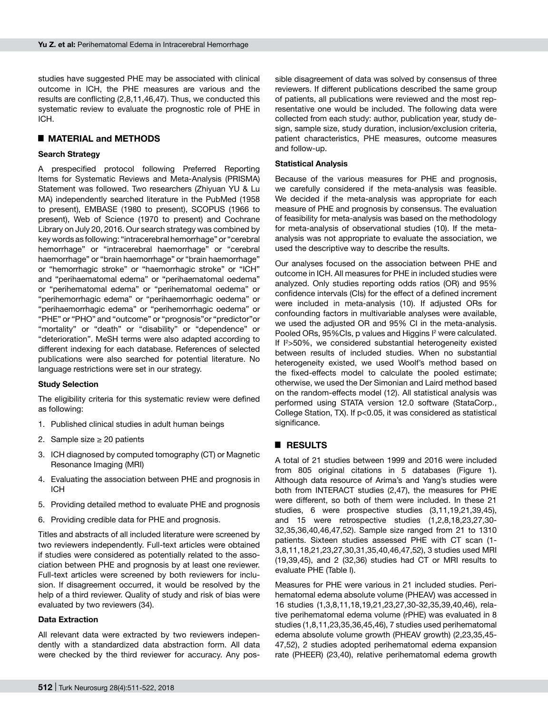studies have suggested PHE may be associated with clinical outcome in ICH, the PHE measures are various and the results are conflicting (2,8,11,46,47). Thus, we conducted this systematic review to evaluate the prognostic role of PHE in ICH.

## █ **MATERIAL and METHODS**

## **Search Strategy**

A prespecified protocol following Preferred Reporting Items for Systematic Reviews and Meta-Analysis (PRISMA) Statement was followed. Two researchers (Zhiyuan YU & Lu MA) independently searched literature in the PubMed (1958 to present), EMBASE (1980 to present), SCOPUS (1966 to present), Web of Science (1970 to present) and Cochrane Library on July 20, 2016. Our search strategy was combined by key words as following: "intracerebral hemorrhage" or "cerebral hemorrhage" or "intracerebral haemorrhage" or "cerebral haemorrhage" or "brain haemorrhage" or "brain haemorrhage" or "hemorrhagic stroke" or "haemorrhagic stroke" or "ICH" and "perihaematomal edema" or "perihaematomal oedema" or "perihematomal edema" or "perihematomal oedema" or "perihemorrhagic edema" or "perihaemorrhagic oedema" or "perihaemorrhagic edema" or "perihemorrhagic oedema" or "PHE" or "PHO" and "outcome" or "prognosis"or "predictor"or "mortality" or "death" or "disability" or "dependence" or "deterioration". MeSH terms were also adapted according to different indexing for each database. References of selected publications were also searched for potential literature. No language restrictions were set in our strategy.

## **Study Selection**

The eligibility criteria for this systematic review were defined as following:

- 1. Published clinical studies in adult human beings
- 2. Sample size ≥ 20 patients
- 3. ICH diagnosed by computed tomography (CT) or Magnetic Resonance Imaging (MRI)
- 4. Evaluating the association between PHE and prognosis in ICH
- 5. Providing detailed method to evaluate PHE and prognosis
- 6. Providing credible data for PHE and prognosis.

Titles and abstracts of all included literature were screened by two reviewers independently. Full-text articles were obtained if studies were considered as potentially related to the association between PHE and prognosis by at least one reviewer. Full-text articles were screened by both reviewers for inclusion. If disagreement occurred, it would be resolved by the help of a third reviewer. Quality of study and risk of bias were evaluated by two reviewers (34).

## **Data Extraction**

All relevant data were extracted by two reviewers independently with a standardized data abstraction form. All data were checked by the third reviewer for accuracy. Any possible disagreement of data was solved by consensus of three reviewers. If different publications described the same group of patients, all publications were reviewed and the most representative one would be included. The following data were collected from each study: author, publication year, study design, sample size, study duration, inclusion/exclusion criteria, patient characteristics, PHE measures, outcome measures and follow-up.

## **Statistical Analysis**

Because of the various measures for PHE and prognosis, we carefully considered if the meta-analysis was feasible. We decided if the meta-analysis was appropriate for each measure of PHE and prognosis by consensus. The evaluation of feasibility for meta-analysis was based on the methodology for meta-analysis of observational studies (10). If the metaanalysis was not appropriate to evaluate the association, we used the descriptive way to describe the results.

Our analyses focused on the association between PHE and outcome in ICH. All measures for PHE in included studies were analyzed. Only studies reporting odds ratios (OR) and 95% confidence intervals (CIs) for the effect of a defined increment were included in meta-analysis (10). If adjusted ORs for confounding factors in multivariable analyses were available, we used the adjusted OR and 95% CI in the meta-analysis. Pooled ORs, 95%Cls, p values and Higgins I<sup>2</sup> were calculated. If I2 >50%, we considered substantial heterogeneity existed between results of included studies. When no substantial heterogeneity existed, we used Woolf's method based on the fixed-effects model to calculate the pooled estimate; otherwise, we used the Der Simonian and Laird method based on the random-effects model (12). All statistical analysis was performed using STATA version 12.0 software (StataCorp., College Station, TX). If p<0.05, it was considered as statistical significance.

## █ **RESULTS**

A total of 21 studies between 1999 and 2016 were included from 805 original citations in 5 databases (Figure 1). Although data resource of Arima's and Yang's studies were both from INTERACT studies (2,47), the measures for PHE were different, so both of them were included. In these 21 studies, 6 were prospective studies (3,11,19,21,39,45), and 15 were retrospective studies (1,2,8,18,23,27,30- 32,35,36,40,46,47,52). Sample size ranged from 21 to 1310 patients. Sixteen studies assessed PHE with CT scan (1- 3,8,11,18,21,23,27,30,31,35,40,46,47,52), 3 studies used MRI (19,39,45), and 2 (32,36) studies had CT or MRI results to evaluate PHE (Table I).

Measures for PHE were various in 21 included studies. Perihematomal edema absolute volume (PHEAV) was accessed in 16 studies (1,3,8,11,18,19,21,23,27,30-32,35,39,40,46), relative perihematomal edema volume (rPHE) was evaluated in 8 studies (1,8,11,23,35,36,45,46), 7 studies used perihematomal edema absolute volume growth (PHEAV growth) (2,23,35,45- 47,52), 2 studies adopted perihematomal edema expansion rate (PHEER) (23,40), relative perihematomal edema growth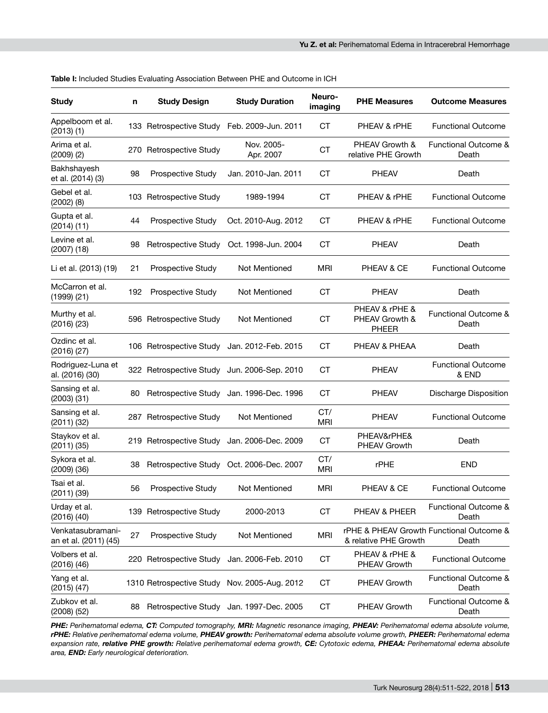| <b>Study</b>                               | n   | <b>Study Design</b>     | <b>Study Duration</b>                        | Neuro-<br>imaging | <b>PHE Measures</b>                              | <b>Outcome Measures</b>                           |  |
|--------------------------------------------|-----|-------------------------|----------------------------------------------|-------------------|--------------------------------------------------|---------------------------------------------------|--|
| Appelboom et al.<br>(2013)(1)              |     | 133 Retrospective Study | Feb. 2009-Jun. 2011                          | СT                | PHEAV & rPHE                                     | <b>Functional Outcome</b>                         |  |
| Arima et al.<br>$(2009)$ $(2)$             |     | 270 Retrospective Study | Nov. 2005-<br>Apr. 2007                      | <b>CT</b>         | PHEAV Growth &<br>relative PHE Growth            | Functional Outcome &<br>Death                     |  |
| Bakhshayesh<br>et al. (2014) (3)           | 98  | Prospective Study       | Jan. 2010-Jan. 2011                          | СT                | PHEAV                                            | Death                                             |  |
| Gebel et al.<br>$(2002)$ $(8)$             |     | 103 Retrospective Study | 1989-1994                                    | <b>CT</b>         | PHEAV & rPHE                                     | <b>Functional Outcome</b>                         |  |
| Gupta et al.<br>$(2014)$ $(11)$            | 44  | Prospective Study       | Oct. 2010-Aug. 2012                          | СT                | PHEAV & rPHE                                     | <b>Functional Outcome</b>                         |  |
| Levine et al.<br>$(2007)$ $(18)$           | 98  | Retrospective Study     | Oct. 1998-Jun. 2004                          | СT                | <b>PHEAV</b>                                     | Death                                             |  |
| Li et al. (2013) (19)                      | 21  | Prospective Study       | Not Mentioned                                | MRI               | PHEAV & CE                                       | <b>Functional Outcome</b>                         |  |
| McCarron et al.<br>(1999)(21)              | 192 | Prospective Study       | Not Mentioned                                | <b>CT</b>         | <b>PHEAV</b>                                     | Death                                             |  |
| Murthy et al.<br>(2016)(23)                |     | 596 Retrospective Study | Not Mentioned                                | <b>CT</b>         | PHEAV & rPHE &<br>PHEAV Growth &<br><b>PHEER</b> | Functional Outcome &<br>Death                     |  |
| Ozdinc et al.<br>(2016)(27)                |     | 106 Retrospective Study | Jan. 2012-Feb. 2015                          | <b>CT</b>         | PHEAV & PHEAA                                    | Death                                             |  |
| Rodriguez-Luna et<br>al. (2016) (30)       |     |                         | 322 Retrospective Study Jun. 2006-Sep. 2010  | <b>CT</b>         | <b>PHEAV</b>                                     | <b>Functional Outcome</b><br>& END                |  |
| Sansing et al.<br>$(2003)$ $(31)$          | 80  |                         | Retrospective Study Jan. 1996-Dec. 1996      | СT                | <b>PHEAV</b>                                     | Discharge Disposition                             |  |
| Sansing et al.<br>(2011)(32)               |     | 287 Retrospective Study | Not Mentioned                                | CT/<br><b>MRI</b> | <b>PHEAV</b>                                     | <b>Functional Outcome</b>                         |  |
| Staykov et al.<br>$(2011)$ $(35)$          |     | 219 Retrospective Study | Jan. 2006-Dec. 2009                          | СT                | PHEAV&rPHE&<br>PHEAV Growth                      | Death                                             |  |
| Sykora et al.<br>$(2009)$ $(36)$           | 38  | Retrospective Study     | Oct. 2006-Dec. 2007                          | CT/<br><b>MRI</b> | rPHE                                             | <b>END</b>                                        |  |
| Tsai et al.<br>(2011)(39)                  | 56  | Prospective Study       | Not Mentioned                                | <b>MRI</b>        | PHEAV & CE                                       | <b>Functional Outcome</b>                         |  |
| Urday et al.<br>$(2016)$ $(40)$            |     | 139 Retrospective Study | 2000-2013                                    | <b>CT</b>         | PHEAV & PHEER                                    | Functional Outcome &<br>Death                     |  |
| Venkatasubramani-<br>an et al. (2011) (45) | 27  | Prospective Study       | Not Mentioned                                | <b>MRI</b>        | & relative PHE Growth                            | rPHE & PHEAV Growth Functional Outcome &<br>Death |  |
| Volbers et al.<br>$(2016)$ $(46)$          |     | 220 Retrospective Study | Jan. 2006-Feb. 2010                          | СT                | PHEAV & rPHE &<br>PHEAV Growth                   | <b>Functional Outcome</b>                         |  |
| Yang et al.<br>$(2015)$ $(47)$             |     |                         | 1310 Retrospective Study Nov. 2005-Aug. 2012 | СT                | PHEAV Growth                                     | Functional Outcome &<br>Death                     |  |
| Zubkov et al.<br>$(2008)$ $(52)$           | 88  |                         | Retrospective Study Jan. 1997-Dec. 2005      | CT                | PHEAV Growth                                     | Functional Outcome &<br>Death                     |  |
|                                            |     |                         |                                              |                   |                                                  |                                                   |  |

**Table I:** Included Studies Evaluating Association Between PHE and Outcome in ICH

*PHE: Perihematomal edema, CT: Computed tomography, MRI: Magnetic resonance imaging, PHEAV: Perihematomal edema absolute volume, rPHE: Relative perihematomal edema volume, PHEAV growth: Perihematomal edema absolute volume growth, PHEER: Perihematomal edema expansion rate, relative PHE growth: Relative perihematomal edema growth, CE: Cytotoxic edema, PHEAA: Perihematomal edema absolute area, END: Early neurological deterioration.*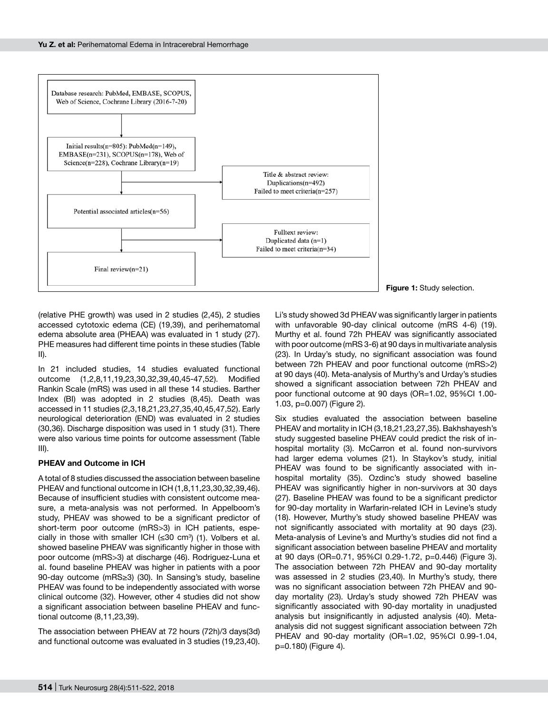

**Figure 1:** Study selection.

(relative PHE growth) was used in 2 studies (2,45), 2 studies accessed cytotoxic edema (CE) (19,39), and perihematomal edema absolute area (PHEAA) was evaluated in 1 study (27). PHE measures had different time points in these studies (Table II).

In 21 included studies, 14 studies evaluated functional outcome (1,2,8,11,19,23,30,32,39,40,45-47,52). Modified Rankin Scale (mRS) was used in all these 14 studies. Barther Index (BI) was adopted in 2 studies (8,45). Death was accessed in 11 studies (2,3,18,21,23,27,35,40,45,47,52). Early neurological deterioration (END) was evaluated in 2 studies (30,36). Discharge disposition was used in 1 study (31). There were also various time points for outcome assessment (Table III).

## **PHEAV and Outcome in ICH**

A total of 8 studies discussed the association between baseline PHEAV and functional outcome in ICH (1,8,11,23,30,32,39,46). Because of insufficient studies with consistent outcome measure, a meta-analysis was not performed. In Appelboom's study, PHEAV was showed to be a significant predictor of short-term poor outcome (mRS>3) in ICH patients, especially in those with smaller ICH (≤30 cm<sup>3</sup>) (1). Volbers et al. showed baseline PHEAV was significantly higher in those with poor outcome (mRS>3) at discharge (46). Rodriguez-Luna et al. found baseline PHEAV was higher in patients with a poor 90-day outcome (mRS≥3) (30). In Sansing's study, baseline PHEAV was found to be independently associated with worse clinical outcome (32). However, other 4 studies did not show a significant association between baseline PHEAV and functional outcome (8,11,23,39).

The association between PHEAV at 72 hours (72h)/3 days(3d) and functional outcome was evaluated in 3 studies (19,23,40).

Li's study showed 3d PHEAV was significantly larger in patients with unfavorable 90-day clinical outcome (mRS 4-6) (19). Murthy et al. found 72h PHEAV was significantly associated with poor outcome (mRS 3-6) at 90 days in multivariate analysis (23). In Urday's study, no significant association was found between 72h PHEAV and poor functional outcome (mRS>2) at 90 days (40). Meta-analysis of Murthy's and Urday's studies showed a significant association between 72h PHEAV and poor functional outcome at 90 days (OR=1.02, 95%CI 1.00- 1.03, p=0.007) (Figure 2).

Six studies evaluated the association between baseline PHEAV and mortality in ICH (3,18,21,23,27,35). Bakhshayesh's study suggested baseline PHEAV could predict the risk of inhospital mortality (3). McCarron et al. found non-survivors had larger edema volumes (21). In Staykov's study, initial PHEAV was found to be significantly associated with inhospital mortality (35). Ozdinc's study showed baseline PHEAV was significantly higher in non-survivors at 30 days (27). Baseline PHEAV was found to be a significant predictor for 90-day mortality in Warfarin-related ICH in Levine's study (18). However, Murthy's study showed baseline PHEAV was not significantly associated with mortality at 90 days (23). Meta-analysis of Levine's and Murthy's studies did not find a significant association between baseline PHEAV and mortality at 90 days (OR=0.71, 95%CI 0.29-1.72, p=0.446) (Figure 3). The association between 72h PHEAV and 90-day mortality was assessed in 2 studies (23,40). In Murthy's study, there was no significant association between 72h PHEAV and 90 day mortality (23). Urday's study showed 72h PHEAV was significantly associated with 90-day mortality in unadjusted analysis but insignificantly in adjusted analysis (40). Metaanalysis did not suggest significant association between 72h PHEAV and 90-day mortality (OR=1.02, 95%CI 0.99-1.04, p=0.180) (Figure 4).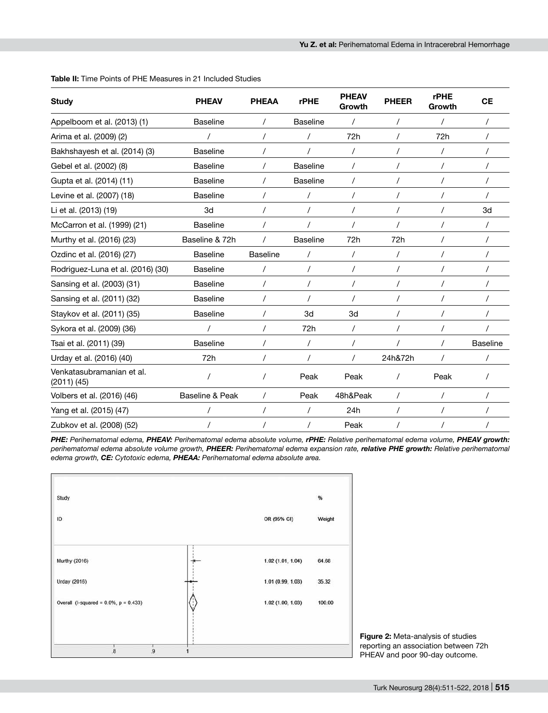| <b>Study</b>                                 | <b>PHEAV</b>    | <b>PHEAA</b>    | <b>rPHE</b>     | <b>PHEAV</b><br>Growth | <b>PHEER</b> | <b>rPHE</b><br>Growth | <b>CE</b>       |
|----------------------------------------------|-----------------|-----------------|-----------------|------------------------|--------------|-----------------------|-----------------|
| Appelboom et al. (2013) (1)                  | <b>Baseline</b> |                 | <b>Baseline</b> |                        |              |                       |                 |
| Arima et al. (2009) (2)                      |                 | $\prime$        |                 | 72h                    |              | 72h                   |                 |
| Bakhshayesh et al. (2014) (3)                | <b>Baseline</b> |                 |                 | $\prime$               |              |                       |                 |
| Gebel et al. (2002) (8)                      | <b>Baseline</b> |                 | <b>Baseline</b> |                        |              |                       |                 |
| Gupta et al. (2014) (11)                     | <b>Baseline</b> |                 | <b>Baseline</b> | $\prime$               |              |                       |                 |
| Levine et al. (2007) (18)                    | <b>Baseline</b> |                 |                 |                        |              |                       |                 |
| Li et al. (2013) (19)                        | 3d              |                 |                 |                        |              |                       | 3d              |
| McCarron et al. (1999) (21)                  | <b>Baseline</b> |                 |                 |                        |              |                       |                 |
| Murthy et al. (2016) (23)                    | Baseline & 72h  |                 | <b>Baseline</b> | 72h                    | 72h          |                       |                 |
| Ozdinc et al. (2016) (27)                    | <b>Baseline</b> | <b>Baseline</b> |                 | $\prime$               | $\prime$     |                       |                 |
| Rodriguez-Luna et al. (2016) (30)            | <b>Baseline</b> | 7               |                 | $\prime$               |              |                       |                 |
| Sansing et al. (2003) (31)                   | <b>Baseline</b> |                 |                 |                        |              |                       |                 |
| Sansing et al. (2011) (32)                   | <b>Baseline</b> | $\prime$        |                 |                        |              |                       |                 |
| Staykov et al. (2011) (35)                   | <b>Baseline</b> |                 | 3d              | 3d                     |              |                       |                 |
| Sykora et al. (2009) (36)                    |                 |                 | 72h             | $\prime$               |              |                       |                 |
| Tsai et al. (2011) (39)                      | <b>Baseline</b> |                 |                 |                        |              |                       | <b>Baseline</b> |
| Urday et al. (2016) (40)                     | 72h             |                 |                 |                        | 24h&72h      |                       |                 |
| Venkatasubramanian et al.<br>$(2011)$ $(45)$ |                 |                 | Peak            | Peak                   |              | Peak                  |                 |
| Volbers et al. (2016) (46)                   | Baseline & Peak | $\prime$        | Peak            | 48h&Peak               | $\prime$     |                       |                 |
| Yang et al. (2015) (47)                      |                 |                 |                 | 24h                    |              |                       |                 |
| Zubkov et al. (2008) (52)                    |                 |                 |                 | Peak                   |              |                       |                 |

#### **Table II:** Time Points of PHE Measures in 21 Included Studies

*PHE: Perihematomal edema, PHEAV: Perihematomal edema absolute volume, rPHE: Relative perihematomal edema volume, PHEAV growth: perihematomal edema absolute volume growth, PHEER: Perihematomal edema expansion rate, relative PHE growth: Relative perihematomal edema growth, CE: Cytotoxic edema, PHEAA: Perihematomal edema absolute area.*



**Figure 2:** Meta-analysis of studies reporting an association between 72h PHEAV and poor 90-day outcome.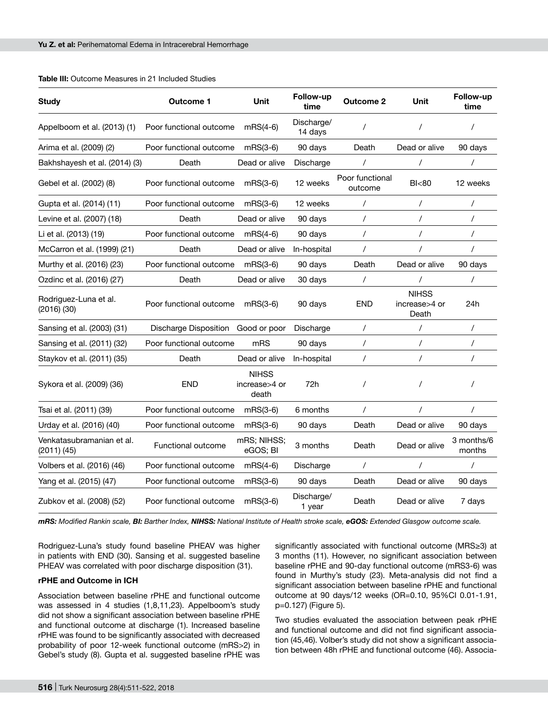| <b>Study</b>                            | <b>Outcome 1</b>        | Unit                                   | Follow-up<br>time     | <b>Outcome 2</b>           | Unit                                   | Follow-up<br>time    |
|-----------------------------------------|-------------------------|----------------------------------------|-----------------------|----------------------------|----------------------------------------|----------------------|
| Appelboom et al. (2013) (1)             | Poor functional outcome | $mRS(4-6)$                             | Discharge/<br>14 days | $\prime$                   | $\prime$                               | $\prime$             |
| Arima et al. (2009) (2)                 | Poor functional outcome | $mRS(3-6)$                             | 90 days               | Death                      | Dead or alive                          | 90 days              |
| Bakhshayesh et al. (2014) (3)           | Death                   | Dead or alive                          | Discharge             | $\prime$                   | $\prime$                               | $\prime$             |
| Gebel et al. (2002) (8)                 | Poor functional outcome | $mRS(3-6)$                             | 12 weeks              | Poor functional<br>outcome | B <sub>80</sub>                        | 12 weeks             |
| Gupta et al. (2014) (11)                | Poor functional outcome | $mRS(3-6)$                             | 12 weeks              | $\prime$                   | $\prime$                               | $\prime$             |
| Levine et al. (2007) (18)               | Death                   | Dead or alive                          | 90 days               | $\prime$                   | $\prime$                               | $\prime$             |
| Li et al. (2013) (19)                   | Poor functional outcome | $mRS(4-6)$                             | 90 days               | $\prime$                   | $\prime$                               | $\prime$             |
| McCarron et al. (1999) (21)             | Death                   | Dead or alive                          | In-hospital           | $\prime$                   |                                        | $\prime$             |
| Murthy et al. (2016) (23)               | Poor functional outcome | $mRS(3-6)$                             | 90 days               | Death                      | Dead or alive                          | 90 days              |
| Ozdinc et al. (2016) (27)               | Death                   | Dead or alive                          | 30 days               | /                          | $\prime$                               | $\prime$             |
| Rodriguez-Luna et al.<br>(2016)(30)     | Poor functional outcome | $mRS(3-6)$                             | 90 days               | <b>END</b>                 | <b>NIHSS</b><br>increase>4 or<br>Death | 24h                  |
| Sansing et al. (2003) (31)              | Discharge Disposition   | Good or poor                           | Discharge             | $\prime$                   | $\prime$                               | $\prime$             |
| Sansing et al. (2011) (32)              | Poor functional outcome | mRS                                    | 90 days               | $\prime$                   | $\prime$                               | $\prime$             |
| Staykov et al. (2011) (35)              | Death                   | Dead or alive                          | In-hospital           | $\prime$                   | $\prime$                               | $\prime$             |
| Sykora et al. (2009) (36)               | <b>END</b>              | <b>NIHSS</b><br>increase>4 or<br>death | 72h                   | 7                          | $\prime$                               | $\prime$             |
| Tsai et al. (2011) (39)                 | Poor functional outcome | $mRS(3-6)$                             | 6 months              | $\prime$                   | $\prime$                               | $\prime$             |
| Urday et al. (2016) (40)                | Poor functional outcome | $mRS(3-6)$                             | 90 days               | Death                      | Dead or alive                          | 90 days              |
| Venkatasubramanian et al.<br>(2011)(45) | Functional outcome      | mRS; NIHSS;<br>eGOS; BI                | 3 months              | Death                      | Dead or alive                          | 3 months/6<br>months |
| Volbers et al. (2016) (46)              | Poor functional outcome | $mRS(4-6)$                             | Discharge             | $\prime$                   | $\prime$                               | $\prime$             |
| Yang et al. (2015) (47)                 | Poor functional outcome | $mRS(3-6)$                             | 90 days               | Death                      | Dead or alive                          | 90 days              |
| Zubkov et al. (2008) (52)               | Poor functional outcome | $mRS(3-6)$                             | Discharge/<br>1 year  | Death                      | Dead or alive                          | 7 days               |

#### **Table III:** Outcome Measures in 21 Included Studies

*mRS: Modified Rankin scale, BI: Barther Index, NIHSS: National Institute of Health stroke scale, eGOS: Extended Glasgow outcome scale.*

Rodriguez-Luna's study found baseline PHEAV was higher in patients with END (30). Sansing et al. suggested baseline PHEAV was correlated with poor discharge disposition (31).

## **rPHE and Outcome in ICH**

Association between baseline rPHE and functional outcome was assessed in 4 studies (1,8,11,23). Appelboom's study did not show a significant association between baseline rPHE and functional outcome at discharge (1). Increased baseline rPHE was found to be significantly associated with decreased probability of poor 12-week functional outcome (mRS>2) in Gebel's study (8). Gupta et al. suggested baseline rPHE was significantly associated with functional outcome (MRS≥3) at 3 months (11). However, no significant association between baseline rPHE and 90-day functional outcome (mRS3-6) was found in Murthy's study (23). Meta-analysis did not find a significant association between baseline rPHE and functional outcome at 90 days/12 weeks (OR=0.10, 95%CI 0.01-1.91, p=0.127) (Figure 5).

Two studies evaluated the association between peak rPHE and functional outcome and did not find significant association (45,46). Volber's study did not show a significant association between 48h rPHE and functional outcome (46). Associa-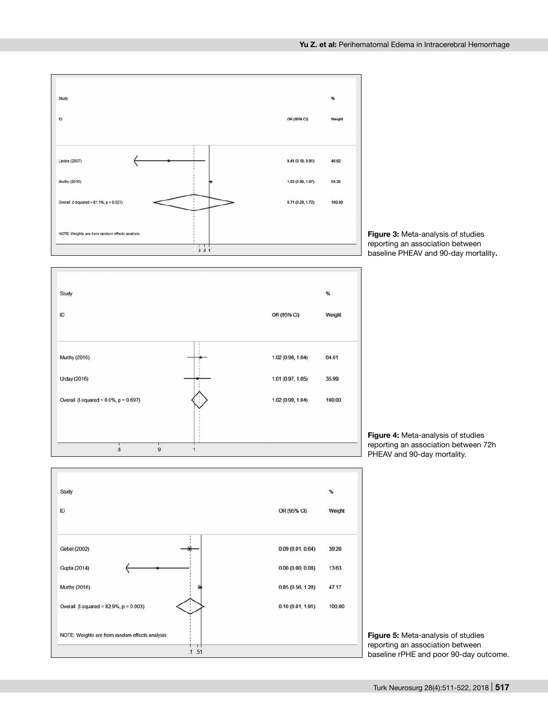

**Figure 3:** Meta-analysis of studies reporting an association between baseline PHEAV and 90-day mortality**.**



**Figure 4:** Meta-analysis of studies reporting an association between 72h PHEAV and 90-day mortality.



**Figure 5:** Meta-analysis of studies reporting an association between baseline rPHE and poor 90-day outcome.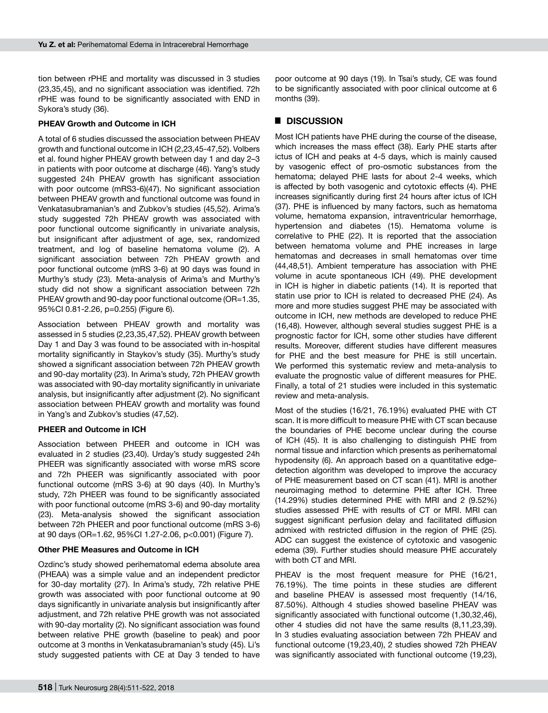tion between rPHE and mortality was discussed in 3 studies (23,35,45), and no significant association was identified. 72h rPHE was found to be significantly associated with END in Sykora's study (36).

### **PHEAV Growth and Outcome in ICH**

A total of 6 studies discussed the association between PHEAV growth and functional outcome in ICH (2,23,45-47,52). Volbers et al. found higher PHEAV growth between day 1 and day 2–3 in patients with poor outcome at discharge (46). Yang's study suggested 24h PHEAV growth has significant association with poor outcome (mRS3-6)(47). No significant association between PHEAV growth and functional outcome was found in Venkatasubramanian's and Zubkov's studies (45,52). Arima's study suggested 72h PHEAV growth was associated with poor functional outcome significantly in univariate analysis, but insignificant after adjustment of age, sex, randomized treatment, and log of baseline hematoma volume (2). A significant association between 72h PHEAV growth and poor functional outcome (mRS 3-6) at 90 days was found in Murthy's study (23). Meta-analysis of Arima's and Murthy's study did not show a significant association between 72h PHEAV growth and 90-day poor functional outcome (OR=1.35, 95%CI 0.81-2.26, p=0.255) (Figure 6).

Association between PHEAV growth and mortality was assessed in 5 studies (2,23,35,47,52). PHEAV growth between Day 1 and Day 3 was found to be associated with in-hospital mortality significantly in Staykov's study (35). Murthy's study showed a significant association between 72h PHEAV growth and 90-day mortality (23). In Arima's study, 72h PHEAV growth was associated with 90-day mortality significantly in univariate analysis, but insignificantly after adjustment (2). No significant association between PHEAV growth and mortality was found in Yang's and Zubkov's studies (47,52).

## **PHEER and Outcome in ICH**

Association between PHEER and outcome in ICH was evaluated in 2 studies (23,40). Urday's study suggested 24h PHEER was significantly associated with worse mRS score and 72h PHEER was significantly associated with poor functional outcome (mRS 3-6) at 90 days (40). In Murthy's study, 72h PHEER was found to be significantly associated with poor functional outcome (mRS 3-6) and 90-day mortality (23). Meta-analysis showed the significant association between 72h PHEER and poor functional outcome (mRS 3-6) at 90 days (OR=1.62, 95%CI 1.27-2.06, p<0.001) (Figure 7).

## **Other PHE Measures and Outcome in ICH**

Ozdinc's study showed perihematomal edema absolute area (PHEAA) was a simple value and an independent predictor for 30-day mortality (27). In Arima's study, 72h relative PHE growth was associated with poor functional outcome at 90 days significantly in univariate analysis but insignificantly after adjustment, and 72h relative PHE growth was not associated with 90-day mortality (2). No significant association was found between relative PHE growth (baseline to peak) and poor outcome at 3 months in Venkatasubramanian's study (45). Li's study suggested patients with CE at Day 3 tended to have

poor outcome at 90 days (19). In Tsai's study, CE was found to be significantly associated with poor clinical outcome at 6 months (39).

## █ **DISCUSSION**

Most ICH patients have PHE during the course of the disease, which increases the mass effect (38). Early PHE starts after ictus of ICH and peaks at 4-5 days, which is mainly caused by vasogenic effect of pro-osmotic substances from the hematoma; delayed PHE lasts for about 2-4 weeks, which is affected by both vasogenic and cytotoxic effects (4). PHE increases significantly during first 24 hours after ictus of ICH (37). PHE is influenced by many factors, such as hematoma volume, hematoma expansion, intraventricular hemorrhage, hypertension and diabetes (15). Hematoma volume is correlative to PHE (22). It is reported that the association between hematoma volume and PHE increases in large hematomas and decreases in small hematomas over time (44,48,51). Ambient temperature has association with PHE volume in acute spontaneous ICH (49). PHE development in ICH is higher in diabetic patients (14). It is reported that statin use prior to ICH is related to decreased PHE (24). As more and more studies suggest PHE may be associated with outcome in ICH, new methods are developed to reduce PHE (16,48). However, although several studies suggest PHE is a prognostic factor for ICH, some other studies have different results. Moreover, different studies have different measures for PHE and the best measure for PHE is still uncertain. We performed this systematic review and meta-analysis to evaluate the prognostic value of different measures for PHE. Finally, a total of 21 studies were included in this systematic review and meta-analysis.

Most of the studies (16/21, 76.19%) evaluated PHE with CT scan. It is more difficult to measure PHE with CT scan because the boundaries of PHE become unclear during the course of ICH (45). It is also challenging to distinguish PHE from normal tissue and infarction which presents as perihematomal hypodensity (6). An approach based on a quantitative edgedetection algorithm was developed to improve the accuracy of PHE measurement based on CT scan (41). MRI is another neuroimaging method to determine PHE after ICH. Three (14.29%) studies determined PHE with MRI and 2 (9.52%) studies assessed PHE with results of CT or MRI. MRI can suggest significant perfusion delay and facilitated diffusion admixed with restricted diffusion in the region of PHE (25). ADC can suggest the existence of cytotoxic and vasogenic edema (39). Further studies should measure PHE accurately with both CT and MRI.

PHEAV is the most frequent measure for PHE (16/21, 76.19%). The time points in these studies are different and baseline PHEAV is assessed most frequently (14/16, 87.50%). Although 4 studies showed baseline PHEAV was significantly associated with functional outcome (1,30,32,46), other 4 studies did not have the same results (8,11,23,39). In 3 studies evaluating association between 72h PHEAV and functional outcome (19,23,40), 2 studies showed 72h PHEAV was significantly associated with functional outcome (19,23),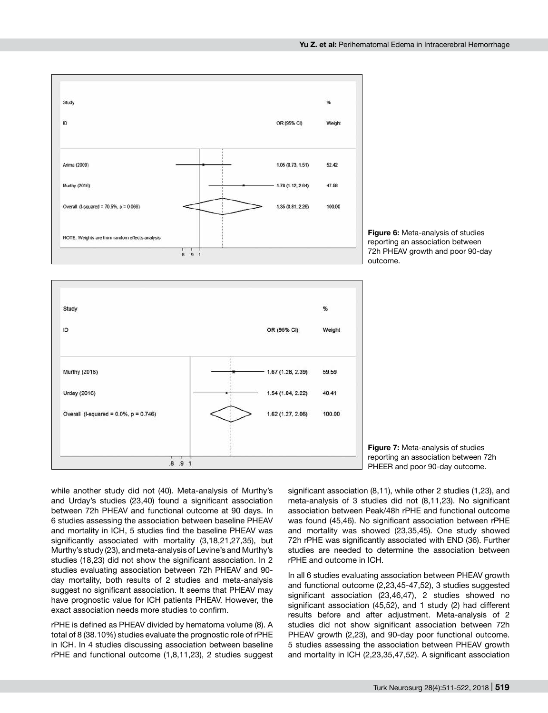





**Figure 7:** Meta-analysis of studies reporting an association between 72h PHEER and poor 90-day outcome.

while another study did not (40). Meta-analysis of Murthy's and Urday's studies (23,40) found a significant association between 72h PHEAV and functional outcome at 90 days. In 6 studies assessing the association between baseline PHEAV and mortality in ICH, 5 studies find the baseline PHEAV was significantly associated with mortality (3,18,21,27,35), but Murthy's study (23), and meta-analysis of Levine's and Murthy's studies (18,23) did not show the significant association. In 2 studies evaluating association between 72h PHEAV and 90 day mortality, both results of 2 studies and meta-analysis suggest no significant association. It seems that PHEAV may have prognostic value for ICH patients PHEAV. However, the exact association needs more studies to confirm.

rPHE is defined as PHEAV divided by hematoma volume (8). A total of 8 (38.10%) studies evaluate the prognostic role of rPHE in ICH. In 4 studies discussing association between baseline rPHE and functional outcome (1,8,11,23), 2 studies suggest significant association (8,11), while other 2 studies (1,23), and meta-analysis of 3 studies did not (8,11,23). No significant association between Peak/48h rPHE and functional outcome was found (45,46). No significant association between rPHE and mortality was showed (23,35,45). One study showed 72h rPHE was significantly associated with END (36). Further studies are needed to determine the association between rPHE and outcome in ICH.

In all 6 studies evaluating association between PHEAV growth and functional outcome (2,23,45-47,52), 3 studies suggested significant association (23,46,47), 2 studies showed no significant association (45,52), and 1 study (2) had different results before and after adjustment. Meta-analysis of 2 studies did not show significant association between 72h PHEAV growth (2,23), and 90-day poor functional outcome. 5 studies assessing the association between PHEAV growth and mortality in ICH (2,23,35,47,52). A significant association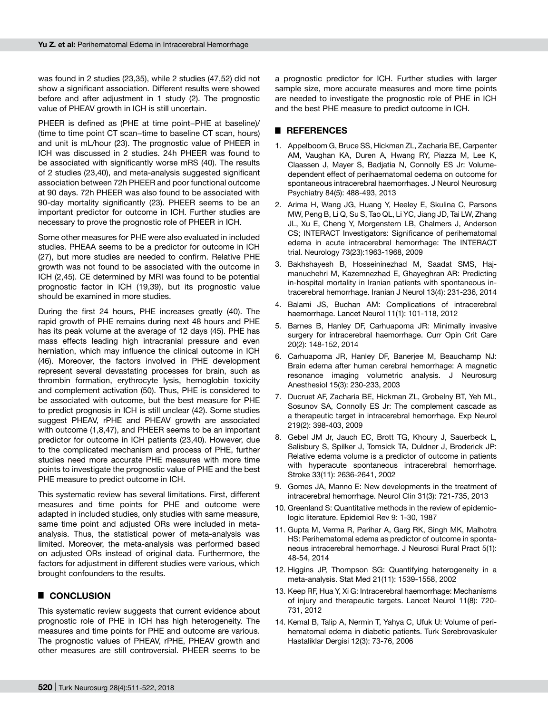was found in 2 studies (23,35), while 2 studies (47,52) did not show a significant association. Different results were showed before and after adjustment in 1 study (2). The prognostic value of PHEAV growth in ICH is still uncertain.

PHEER is defined as (PHE at time point−PHE at baseline)/ (time to time point CT scan−time to baseline CT scan, hours) and unit is mL/hour (23). The prognostic value of PHEER in ICH was discussed in 2 studies. 24h PHEER was found to be associated with significantly worse mRS (40). The results of 2 studies (23,40), and meta-analysis suggested significant association between 72h PHEER and poor functional outcome at 90 days. 72h PHEER was also found to be associated with 90-day mortality significantly (23). PHEER seems to be an important predictor for outcome in ICH. Further studies are necessary to prove the prognostic role of PHEER in ICH.

Some other measures for PHE were also evaluated in included studies. PHEAA seems to be a predictor for outcome in ICH (27), but more studies are needed to confirm. Relative PHE growth was not found to be associated with the outcome in ICH (2,45). CE determined by MRI was found to be potential prognostic factor in ICH (19,39), but its prognostic value should be examined in more studies.

During the first 24 hours, PHE increases greatly (40). The rapid growth of PHE remains during next 48 hours and PHE has its peak volume at the average of 12 days (45). PHE has mass effects leading high intracranial pressure and even herniation, which may influence the clinical outcome in ICH (46). Moreover, the factors involved in PHE development represent several devastating processes for brain, such as thrombin formation, erythrocyte lysis, hemoglobin toxicity and complement activation (50). Thus, PHE is considered to be associated with outcome, but the best measure for PHE to predict prognosis in ICH is still unclear (42). Some studies suggest PHEAV, rPHE and PHEAV growth are associated with outcome (1,8,47), and PHEER seems to be an important predictor for outcome in ICH patients (23,40). However, due to the complicated mechanism and process of PHE, further studies need more accurate PHE measures with more time points to investigate the prognostic value of PHE and the best PHE measure to predict outcome in ICH.

This systematic review has several limitations. First, different measures and time points for PHE and outcome were adapted in included studies, only studies with same measure, same time point and adjusted ORs were included in metaanalysis. Thus, the statistical power of meta-analysis was limited. Moreover, the meta-analysis was performed based on adjusted ORs instead of original data. Furthermore, the factors for adjustment in different studies were various, which brought confounders to the results.

## █ **CONCLUSION**

This systematic review suggests that current evidence about prognostic role of PHE in ICH has high heterogeneity. The measures and time points for PHE and outcome are various. The prognostic values of PHEAV, rPHE, PHEAV growth and other measures are still controversial. PHEER seems to be

a prognostic predictor for ICH. Further studies with larger sample size, more accurate measures and more time points are needed to investigate the prognostic role of PHE in ICH and the best PHE measure to predict outcome in ICH.

## █ **REFERENCES**

- 1. Appelboom G, Bruce SS, Hickman ZL, Zacharia BE, Carpenter AM, Vaughan KA, Duren A, Hwang RY, Piazza M, Lee K, Claassen J, Mayer S, Badjatia N, Connolly ES Jr: Volumedependent effect of perihaematomal oedema on outcome for spontaneous intracerebral haemorrhages. J Neurol Neurosurg Psychiatry 84(5): 488-493, 2013
- 2. Arima H, Wang JG, Huang Y, Heeley E, Skulina C, Parsons MW, Peng B, Li Q, Su S, Tao QL, Li YC, Jiang JD, Tai LW, Zhang JL, Xu E, Cheng Y, Morgenstern LB, Chalmers J, Anderson CS; INTERACT Investigators: Significance of perihematomal edema in acute intracerebral hemorrhage: The INTERACT trial. Neurology 73(23):1963-1968, 2009
- 3. Bakhshayesh B, Hosseininezhad M, Saadat SMS, Hajmanuchehri M, Kazemnezhad E, Ghayeghran AR: Predicting in-hospital mortality in Iranian patients with spontaneous intracerebral hemorrhage. Iranian J Neurol 13(4): 231-236, 2014
- 4. Balami JS, Buchan AM: Complications of intracerebral haemorrhage. Lancet Neurol 11(1): 101-118, 2012
- 5. Barnes B, Hanley DF, Carhuapoma JR: Minimally invasive surgery for intracerebral haemorrhage. Curr Opin Crit Care 20(2): 148-152, 2014
- 6. Carhuapoma JR, Hanley DF, Banerjee M, Beauchamp NJ: Brain edema after human cerebral hemorrhage: A magnetic resonance imaging volumetric analysis. J Neurosurg Anesthesiol 15(3): 230-233, 2003
- 7. Ducruet AF, Zacharia BE, Hickman ZL, Grobelny BT, Yeh ML, Sosunov SA, Connolly ES Jr: The complement cascade as a therapeutic target in intracerebral hemorrhage. Exp Neurol 219(2): 398-403, 2009
- 8. Gebel JM Jr, Jauch EC, Brott TG, Khoury J, Sauerbeck L, Salisbury S, Spilker J, Tomsick TA, Duldner J, Broderick JP: Relative edema volume is a predictor of outcome in patients with hyperacute spontaneous intracerebral hemorrhage. Stroke 33(11): 2636-2641, 2002
- 9. Gomes JA, Manno E: New developments in the treatment of intracerebral hemorrhage. Neurol Clin 31(3): 721-735, 2013
- 10. Greenland S: Quantitative methods in the review of epidemiologic literature. Epidemiol Rev 9: 1-30, 1987
- 11. Gupta M, Verma R, Parihar A, Garg RK, Singh MK, Malhotra HS: Perihematomal edema as predictor of outcome in spontaneous intracerebral hemorrhage. J Neurosci Rural Pract 5(1): 48-54, 2014
- 12. Higgins JP, Thompson SG: Quantifying heterogeneity in a meta-analysis. Stat Med 21(11): 1539-1558, 2002
- 13. Keep RF, Hua Y, Xi G: Intracerebral haemorrhage: Mechanisms of injury and therapeutic targets. Lancet Neurol 11(8): 720- 731, 2012
- 14. Kemal B, Talip A, Nermin T, Yahya C, Ufuk U: Volume of perihematomal edema in diabetic patients. Turk Serebrovaskuler Hastaliklar Dergisi 12(3): 73-76, 2006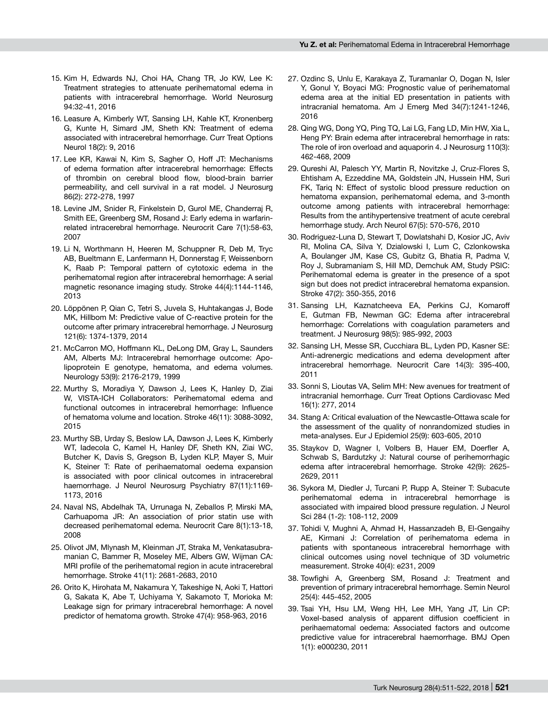- 15. Kim H, Edwards NJ, Choi HA, Chang TR, Jo KW, Lee K: Treatment strategies to attenuate perihematomal edema in patients with intracerebral hemorrhage. World Neurosurg 94:32-41, 2016
- 16. Leasure A, Kimberly WT, Sansing LH, Kahle KT, Kronenberg G, Kunte H, Simard JM, Sheth KN: Treatment of edema associated with intracerebral hemorrhage. Curr Treat Options Neurol 18(2): 9, 2016
- 17. Lee KR, Kawai N, Kim S, Sagher O, Hoff JT: Mechanisms of edema formation after intracerebral hemorrhage: Effects of thrombin on cerebral blood flow, blood-brain barrier permeability, and cell survival in a rat model. J Neurosurg 86(2): 272-278, 1997
- 18. Levine JM, Snider R, Finkelstein D, Gurol ME, Chanderraj R, Smith EE, Greenberg SM, Rosand J: Early edema in warfarinrelated intracerebral hemorrhage. Neurocrit Care 7(1):58-63, 2007
- 19. Li N, Worthmann H, Heeren M, Schuppner R, Deb M, Tryc AB, Bueltmann E, Lanfermann H, Donnerstag F, Weissenborn K, Raab P: Temporal pattern of cytotoxic edema in the perihematomal region after intracerebral hemorrhage: A serial magnetic resonance imaging study. Stroke 44(4):1144-1146, 2013
- 20. Löppönen P, Qian C, Tetri S, Juvela S, Huhtakangas J, Bode MK, Hillbom M: Predictive value of C-reactive protein for the outcome after primary intracerebral hemorrhage. J Neurosurg 121(6): 1374-1379, 2014
- 21. McCarron MO, Hoffmann KL, DeLong DM, Gray L, Saunders AM, Alberts MJ: Intracerebral hemorrhage outcome: Apolipoprotein E genotype, hematoma, and edema volumes. Neurology 53(9): 2176-2179, 1999
- 22. Murthy S, Moradiya Y, Dawson J, Lees K, Hanley D, Ziai W, VISTA-ICH Collaborators: Perihematomal edema and functional outcomes in intracerebral hemorrhage: Influence of hematoma volume and location. Stroke 46(11): 3088-3092, 2015
- 23. Murthy SB, Urday S, Beslow LA, Dawson J, Lees K, Kimberly WT, Iadecola C, Kamel H, Hanley DF, Sheth KN, Ziai WC, Butcher K, Davis S, Gregson B, Lyden KLP, Mayer S, Muir K, Steiner T: Rate of perihaematomal oedema expansion is associated with poor clinical outcomes in intracerebral haemorrhage. J Neurol Neurosurg Psychiatry 87(11):1169- 1173, 2016
- 24. Naval NS, Abdelhak TA, Urrunaga N, Zeballos P, Mirski MA, Carhuapoma JR: An association of prior statin use with decreased perihematomal edema. Neurocrit Care 8(1):13-18, 2008
- 25. Olivot JM, Mlynash M, Kleinman JT, Straka M, Venkatasubramanian C, Bammer R, Moseley ME, Albers GW, Wijman CA: MRI profile of the perihematomal region in acute intracerebral hemorrhage. Stroke 41(11): 2681-2683, 2010
- 26. Orito K, Hirohata M, Nakamura Y, Takeshige N, Aoki T, Hattori G, Sakata K, Abe T, Uchiyama Y, Sakamoto T, Morioka M: Leakage sign for primary intracerebral hemorrhage: A novel predictor of hematoma growth. Stroke 47(4): 958-963, 2016
- 27. Ozdinc S, Unlu E, Karakaya Z, Turamanlar O, Dogan N, Isler Y, Gonul Y, Boyaci MG: Prognostic value of perihematomal edema area at the initial ED presentation in patients with intracranial hematoma. Am J Emerg Med 34(7):1241-1246, 2016
- 28. Qing WG, Dong YQ, Ping TQ, Lai LG, Fang LD, Min HW, Xia L, Heng PY: Brain edema after intracerebral hemorrhage in rats: The role of iron overload and aquaporin 4. J Neurosurg 110(3): 462-468, 2009
- 29. Qureshi AI, Palesch YY, Martin R, Novitzke J, Cruz-Flores S, Ehtisham A, Ezzeddine MA, Goldstein JN, Hussein HM, Suri FK, Tariq N: Effect of systolic blood pressure reduction on hematoma expansion, perihematomal edema, and 3-month outcome among patients with intracerebral hemorrhage: Results from the antihypertensive treatment of acute cerebral hemorrhage study. Arch Neurol 67(5): 570-576, 2010
- 30. Rodriguez-Luna D, Stewart T, Dowlatshahi D, Kosior JC, Aviv RI, Molina CA, Silva Y, Dzialowski I, Lum C, Czlonkowska A, Boulanger JM, Kase CS, Gubitz G, Bhatia R, Padma V, Roy J, Subramaniam S, Hill MD, Demchuk AM, Study PSIC: Perihematomal edema is greater in the presence of a spot sign but does not predict intracerebral hematoma expansion. Stroke 47(2): 350-355, 2016
- 31. Sansing LH, Kaznatcheeva EA, Perkins CJ, Komaroff E, Gutman FB, Newman GC: Edema after intracerebral hemorrhage: Correlations with coagulation parameters and treatment. J Neurosurg 98(5): 985-992, 2003
- 32. Sansing LH, Messe SR, Cucchiara BL, Lyden PD, Kasner SE: Anti-adrenergic medications and edema development after intracerebral hemorrhage. Neurocrit Care 14(3): 395-400, 2011
- 33. Sonni S, Lioutas VA, Selim MH: New avenues for treatment of intracranial hemorrhage. Curr Treat Options Cardiovasc Med 16(1): 277, 2014
- 34. Stang A: Critical evaluation of the Newcastle-Ottawa scale for the assessment of the quality of nonrandomized studies in meta-analyses. Eur J Epidemiol 25(9): 603-605, 2010
- 35. Staykov D, Wagner I, Volbers B, Hauer EM, Doerfler A, Schwab S, Bardutzky J: Natural course of perihemorrhagic edema after intracerebral hemorrhage. Stroke 42(9): 2625- 2629, 2011
- 36. Sykora M, Diedler J, Turcani P, Rupp A, Steiner T: Subacute perihematomal edema in intracerebral hemorrhage is associated with impaired blood pressure regulation. J Neurol Sci 284 (1-2): 108-112, 2009
- 37. Tohidi V, Mughni A, Ahmad H, Hassanzadeh B, El-Gengaihy AE, Kirmani J: Correlation of perihematoma edema in patients with spontaneous intracerebral hemorrhage with clinical outcomes using novel technique of 3D volumetric measurement. Stroke 40(4): e231, 2009
- 38. Towfighi A, Greenberg SM, Rosand J: Treatment and prevention of primary intracerebral hemorrhage. Semin Neurol 25(4): 445-452, 2005
- 39. Tsai YH, Hsu LM, Weng HH, Lee MH, Yang JT, Lin CP: Voxel-based analysis of apparent diffusion coefficient in perihaematomal oedema: Associated factors and outcome predictive value for intracerebral haemorrhage. BMJ Open 1(1): e000230, 2011